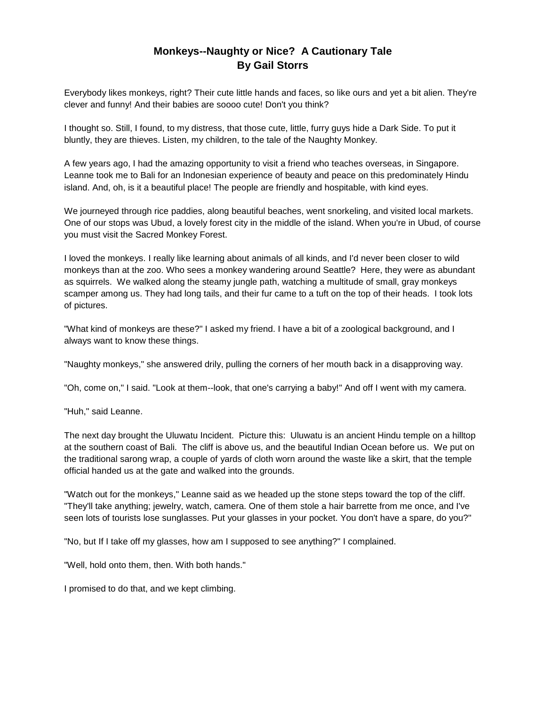## **Monkeys--Naughty or Nice? A Cautionary Tale By Gail Storrs**

Everybody likes monkeys, right? Their cute little hands and faces, so like ours and yet a bit alien. They're clever and funny! And their babies are soooo cute! Don't you think?

I thought so. Still, I found, to my distress, that those cute, little, furry guys hide a Dark Side. To put it bluntly, they are thieves. Listen, my children, to the tale of the Naughty Monkey.

A few years ago, I had the amazing opportunity to visit a friend who teaches overseas, in Singapore. Leanne took me to Bali for an Indonesian experience of beauty and peace on this predominately Hindu island. And, oh, is it a beautiful place! The people are friendly and hospitable, with kind eyes.

We journeyed through rice paddies, along beautiful beaches, went snorkeling, and visited local markets. One of our stops was Ubud, a lovely forest city in the middle of the island. When you're in Ubud, of course you must visit the Sacred Monkey Forest.

I loved the monkeys. I really like learning about animals of all kinds, and I'd never been closer to wild monkeys than at the zoo. Who sees a monkey wandering around Seattle? Here, they were as abundant as squirrels. We walked along the steamy jungle path, watching a multitude of small, gray monkeys scamper among us. They had long tails, and their fur came to a tuft on the top of their heads. I took lots of pictures.

"What kind of monkeys are these?" I asked my friend. I have a bit of a zoological background, and I always want to know these things.

"Naughty monkeys," she answered drily, pulling the corners of her mouth back in a disapproving way.

"Oh, come on," I said. "Look at them--look, that one's carrying a baby!" And off I went with my camera.

"Huh," said Leanne.

The next day brought the Uluwatu Incident. Picture this: Uluwatu is an ancient Hindu temple on a hilltop at the southern coast of Bali. The cliff is above us, and the beautiful Indian Ocean before us. We put on the traditional sarong wrap, a couple of yards of cloth worn around the waste like a skirt, that the temple official handed us at the gate and walked into the grounds.

"Watch out for the monkeys," Leanne said as we headed up the stone steps toward the top of the cliff. "They'll take anything; jewelry, watch, camera. One of them stole a hair barrette from me once, and I've seen lots of tourists lose sunglasses. Put your glasses in your pocket. You don't have a spare, do you?"

"No, but If I take off my glasses, how am I supposed to see anything?" I complained.

"Well, hold onto them, then. With both hands."

I promised to do that, and we kept climbing.